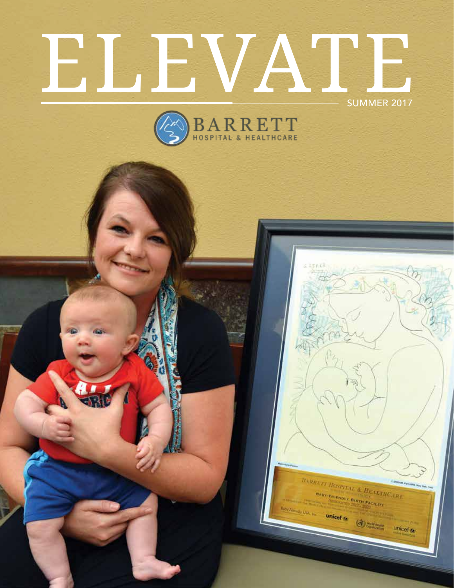# ELEVATE SUMMER 2017



**BART-FRIENDLY BIRTH FACTURE** 

 $\bigcirc$ 

 $under$ </u>

unicef  $\alpha$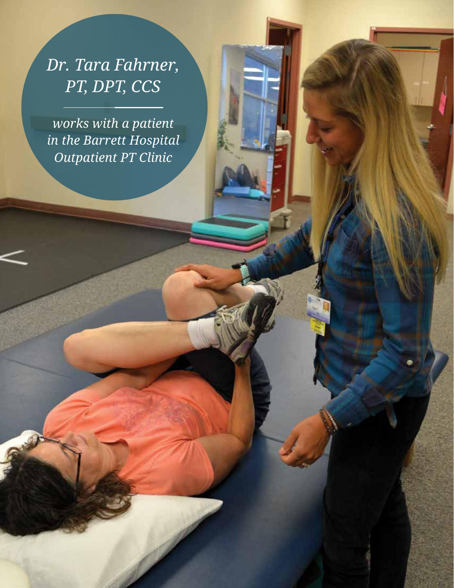### *Dr. Tara Fahrner, PT, DPT, CCS*

*works with a patient in the Barrett Hospital Outpatient PT Clinic*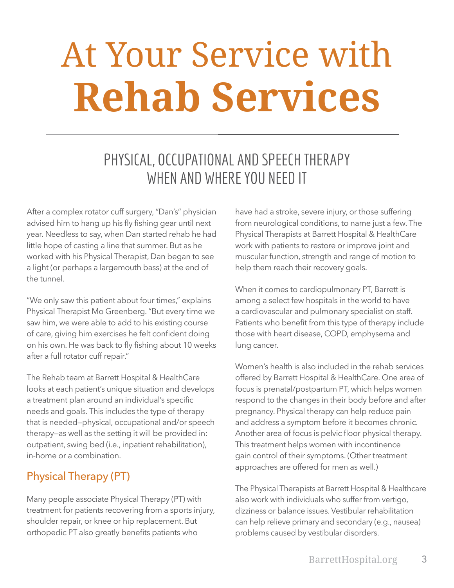# At Your Service with **Rehab Services**

### PHYSICAL, OCCUPATIONAL AND SPEECH THERAPY WHEN AND WHERE YOU NEED IT

After a complex rotator cuff surgery, "Dan's" physician advised him to hang up his fly fishing gear until next year. Needless to say, when Dan started rehab he had little hope of casting a line that summer. But as he worked with his Physical Therapist, Dan began to see a light (or perhaps a largemouth bass) at the end of the tunnel.

"We only saw this patient about four times," explains Physical Therapist Mo Greenberg. "But every time we saw him, we were able to add to his existing course of care, giving him exercises he felt confident doing on his own. He was back to fly fishing about 10 weeks after a full rotator cuff repair."

The Rehab team at Barrett Hospital & HealthCare looks at each patient's unique situation and develops a treatment plan around an individual's specific needs and goals. This includes the type of therapy that is needed—physical, occupational and/or speech therapy—as well as the setting it will be provided in: outpatient, swing bed (i.e., inpatient rehabilitation), in-home or a combination.

#### Physical Therapy (PT)

Many people associate Physical Therapy (PT) with treatment for patients recovering from a sports injury, shoulder repair, or knee or hip replacement. But orthopedic PT also greatly benefits patients who

have had a stroke, severe injury, or those suffering from neurological conditions, to name just a few. The Physical Therapists at Barrett Hospital & HealthCare work with patients to restore or improve joint and muscular function, strength and range of motion to help them reach their recovery goals.

When it comes to cardiopulmonary PT, Barrett is among a select few hospitals in the world to have a cardiovascular and pulmonary specialist on staff. Patients who benefit from this type of therapy include those with heart disease, COPD, emphysema and lung cancer.

Women's health is also included in the rehab services offered by Barrett Hospital & HealthCare. One area of focus is prenatal/postpartum PT, which helps women respond to the changes in their body before and after pregnancy. Physical therapy can help reduce pain and address a symptom before it becomes chronic. Another area of focus is pelvic floor physical therapy. This treatment helps women with incontinence gain control of their symptoms. (Other treatment approaches are offered for men as well.)

The Physical Therapists at Barrett Hospital & Healthcare also work with individuals who suffer from vertigo, dizziness or balance issues. Vestibular rehabilitation can help relieve primary and secondary (e.g., nausea) problems caused by vestibular disorders.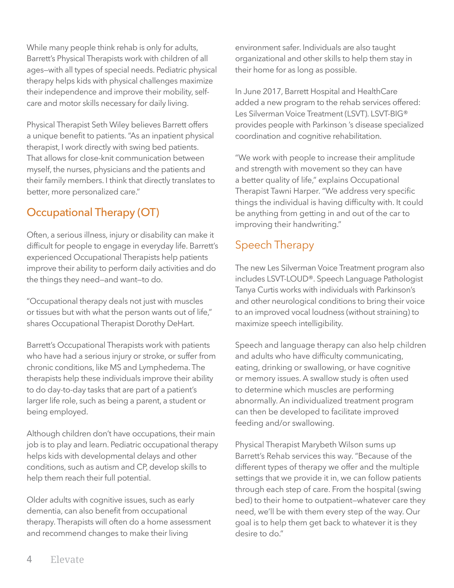While many people think rehab is only for adults, Barrett's Physical Therapists work with children of all ages—with all types of special needs. Pediatric physical therapy helps kids with physical challenges maximize their independence and improve their mobility, selfcare and motor skills necessary for daily living.

Physical Therapist Seth Wiley believes Barrett offers a unique benefit to patients. "As an inpatient physical therapist, I work directly with swing bed patients. That allows for close-knit communication between myself, the nurses, physicians and the patients and their family members. I think that directly translates to better, more personalized care."

#### Occupational Therapy (OT)

Often, a serious illness, injury or disability can make it difficult for people to engage in everyday life. Barrett's experienced Occupational Therapists help patients improve their ability to perform daily activities and do the things they need—and want—to do.

"Occupational therapy deals not just with muscles or tissues but with what the person wants out of life," shares Occupational Therapist Dorothy DeHart.

Barrett's Occupational Therapists work with patients who have had a serious injury or stroke, or suffer from chronic conditions, like MS and Lymphedema. The therapists help these individuals improve their ability to do day-to-day tasks that are part of a patient's larger life role, such as being a parent, a student or being employed.

Although children don't have occupations, their main job is to play and learn. Pediatric occupational therapy helps kids with developmental delays and other conditions, such as autism and CP, develop skills to help them reach their full potential.

Older adults with cognitive issues, such as early dementia, can also benefit from occupational therapy. Therapists will often do a home assessment and recommend changes to make their living

environment safer. Individuals are also taught organizational and other skills to help them stay in their home for as long as possible.

In June 2017, Barrett Hospital and HealthCare added a new program to the rehab services offered: Les Silverman Voice Treatment (LSVT). LSVT-BIG® provides people with Parkinson 's disease specialized coordination and cognitive rehabilitation.

"We work with people to increase their amplitude and strength with movement so they can have a better quality of life," explains Occupational Therapist Tawni Harper. "We address very specific things the individual is having difficulty with. It could be anything from getting in and out of the car to improving their handwriting."

#### Speech Therapy

The new Les Silverman Voice Treatment program also includes LSVT-LOUD®. Speech Language Pathologist Tanya Curtis works with individuals with Parkinson's and other neurological conditions to bring their voice to an improved vocal loudness (without straining) to maximize speech intelligibility.

Speech and language therapy can also help children and adults who have difficulty communicating, eating, drinking or swallowing, or have cognitive or memory issues. A swallow study is often used to determine which muscles are performing abnormally. An individualized treatment program can then be developed to facilitate improved feeding and/or swallowing.

Physical Therapist Marybeth Wilson sums up Barrett's Rehab services this way. "Because of the different types of therapy we offer and the multiple settings that we provide it in, we can follow patients through each step of care. From the hospital (swing bed) to their home to outpatient—whatever care they need, we'll be with them every step of the way. Our goal is to help them get back to whatever it is they desire to do."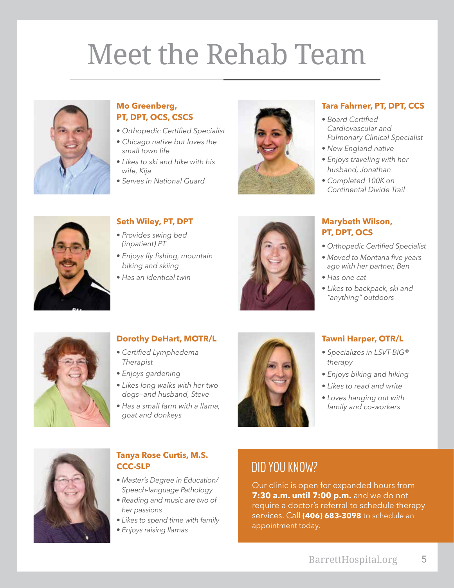# Meet the Rehab Team



#### **Mo Greenberg, PT, DPT, OCS, CSCS**

- *Orthopedic Certified Specialist*
- *Chicago native but loves the small town life*
- *Likes to ski and hike with his wife, Kija*
- *Serves in National Guard*



#### **Tara Fahrner, PT, DPT, CCS**

- *Board Certified Cardiovascular and Pulmonary Clinical Specialist*
- *New England native*
- *Enjoys traveling with her husband, Jonathan*
- *Completed 100K on Continental Divide Trail*



#### **Seth Wiley, PT, DPT**

- *Provides swing bed (inpatient) PT*
- *Enjoys fly fishing, mountain biking and skiing*
- *Has an identical twin*



#### **Marybeth Wilson, PT, DPT, OCS**

- *Orthopedic Certified Specialist*
- *Moved to Montana five years ago with her partner, Ben*
- *Has one cat*
- *Likes to backpack, ski and "anything" outdoors*



#### **Dorothy DeHart, MOTR/L**

- *Certified Lymphedema Therapist*
- *Enjoys gardening*
- *Likes long walks with her two dogs—and husband, Steve*
- *Has a small farm with a llama, goat and donkeys*



#### **Tawni Harper, OTR/L**

- *Specializes in LSVT-BIG® therapy*
- *Enjoys biking and hiking*
- *Likes to read and write*
- *Loves hanging out with family and co-workers*



#### **Tanya Rose Curtis, M.S. CCC-SLP**

- *Master's Degree in Education/ Speech-language Pathology*
- *Reading and music are two of her passions*
- *Likes to spend time with family*
- *Enjoys raising llamas*

#### DID YOU KNOW?

Our clinic is open for expanded hours from **7:30 a.m. until 7:00 p.m.** and we do not require a doctor's referral to schedule therapy services. Call **(406) 683-3098** to schedule an appointment today.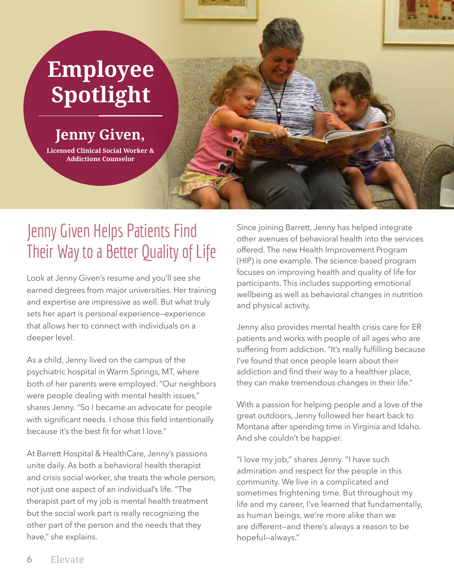# **Employee Spotlight**

**Jenny Given,** 

**Licensed Clinical Social Worker & Addictions Counselor**

### Jenny Given Helps Patients Find Their Way to a Better Quality of Life

Look at Jenny Given's resume and you'll see she earned degrees from major universities. Her training and expertise are impressive as well. But what truly sets her apart is personal experience—experience that allows her to connect with individuals on a deeper level.

As a child, Jenny lived on the campus of the psychiatric hospital in Warm Springs, MT, where both of her parents were employed. "Our neighbors were people dealing with mental health issues," shares Jenny. "So I became an advocate for people with significant needs. I chose this field intentionally because it's the best fit for what I love."

At Barrett Hospital & HealthCare, Jenny's passions unite daily. As both a behavioral health therapist and crisis social worker, she treats the whole person, not just one aspect of an individual's life. "The therapist part of my job is mental health treatment but the social work part is really recognizing the other part of the person and the needs that they have," she explains.

Since joining Barrett, Jenny has helped integrate other avenues of behavioral health into the services offered. The new Health Improvement Program (HIP) is one example. The science-based program focuses on improving health and quality of life for participants. This includes supporting emotional wellbeing as well as behavioral changes in nutrition and physical activity.

Jenny also provides mental health crisis care for ER patients and works with people of all ages who are suffering from addiction. "It's really fulfilling because I've found that once people learn about their addiction and find their way to a healthier place, they can make tremendous changes in their life."

With a passion for helping people and a love of the great outdoors, Jenny followed her heart back to Montana after spending time in Virginia and Idaho. And she couldn't be happier.

"I love my job," shares Jenny. "I have such admiration and respect for the people in this community. We live in a complicated and sometimes frightening time. But throughout my life and my career, I've learned that fundamentally, as human beings, we're more alike than we are different—and there's always a reason to be hopeful—always."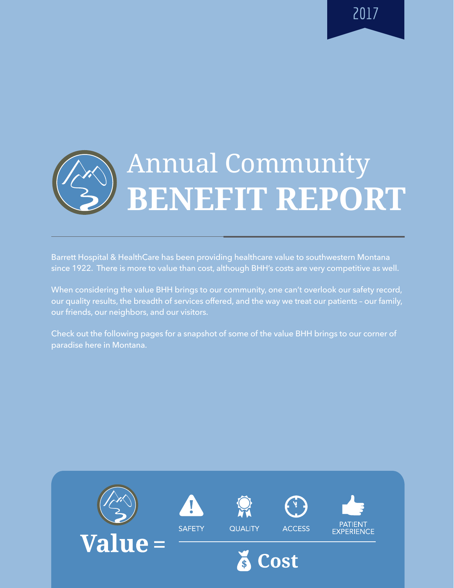2017

# Annual Community **BENEFIT REPORT**

Barrett Hospital & HealthCare has been providing healthcare value to southwestern Montana since 1922. There is more to value than cost, although BHH's costs are very competitive as well.

When considering the value BHH brings to our community, one can't overlook our safety record, our quality results, the breadth of services offered, and the way we treat our patients – our family, our friends, our neighbors, and our visitors.

Check out the following pages for a snapshot of some of the value BHH brings to our corner of paradise here in Montana.

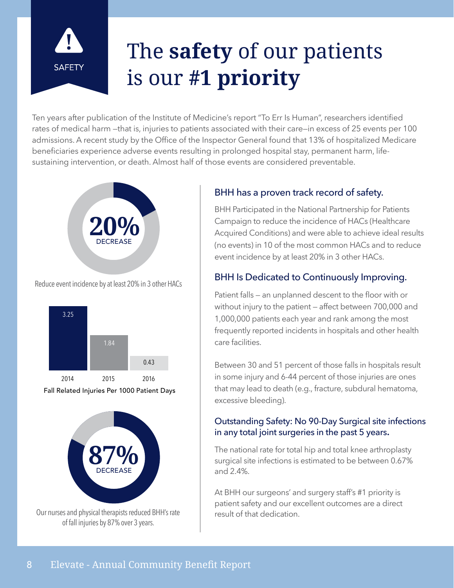

## The **safety** of our patients is our **#1 priority**

Ten years after publication of the Institute of Medicine's report "To Err Is Human", researchers identified rates of medical harm —that is, injuries to patients associated with their care—in excess of 25 events per 100 admissions. A recent study by the Office of the Inspector General found that 13% of hospitalized Medicare beneficiaries experience adverse events resulting in prolonged hospital stay, permanent harm, lifesustaining intervention, or death. Almost half of those events are considered preventable.



Reduce event incidence by at least 20% in 3 other HACs







Our nurses and physical therapists reduced BHH's rate of fall injuries by 87% over 3 years.

#### BHH has a proven track record of safety.

BHH Participated in the National Partnership for Patients Campaign to reduce the incidence of HACs (Healthcare Acquired Conditions) and were able to achieve ideal results (no events) in 10 of the most common HACs and to reduce event incidence by at least 20% in 3 other HACs.

#### BHH Is Dedicated to Continuously Improving.

Patient falls — an unplanned descent to the floor with or without injury to the patient — affect between 700,000 and 1,000,000 patients each year and rank among the most frequently reported incidents in hospitals and other health care facilities.

Between 30 and 51 percent of those falls in hospitals result in some injury and 6-44 percent of those injuries are ones that may lead to death (e.g., fracture, subdural hematoma, excessive bleeding).

#### Outstanding Safety: No 90-Day Surgical site infections in any total joint surgeries in the past 5 years.

The national rate for total hip and total knee arthroplasty surgical site infections is estimated to be between 0.67% and 2.4%.

At BHH our surgeons' and surgery staff's #1 priority is patient safety and our excellent outcomes are a direct result of that dedication.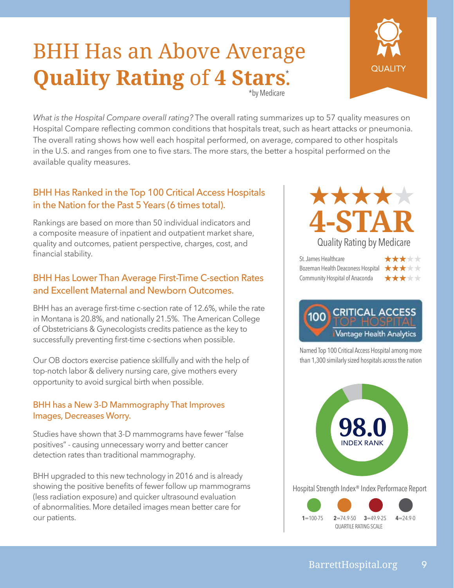### BHH Has an Above Average **Quality Rating** of **4 Stars**. \* \*by Medicare



*What is the Hospital Compare overall rating?* The overall rating summarizes up to 57 quality measures on Hospital Compare reflecting common conditions that hospitals treat, such as heart attacks or pneumonia. The overall rating shows how well each hospital performed, on average, compared to other hospitals in the U.S. and ranges from one to five stars. The more stars, the better a hospital performed on the available quality measures.

#### BHH Has Ranked in the Top 100 Critical Access Hospitals in the Nation for the Past 5 Years (6 times total).

Rankings are based on more than 50 individual indicators and a composite measure of inpatient and outpatient market share, quality and outcomes, patient perspective, charges, cost, and financial stability.

#### BHH Has Lower Than Average First-Time C-section Rates and Excellent Maternal and Newborn Outcomes.

BHH has an average first-time c-section rate of 12.6%, while the rate in Montana is 20.8%, and nationally 21.5%. The American College of Obstetricians & Gynecologists credits patience as the key to successfully preventing first-time c-sections when possible.

Our OB doctors exercise patience skillfully and with the help of top-notch labor & delivery nursing care, give mothers every opportunity to avoid surgical birth when possible.

#### BHH has a New 3-D Mammography That Improves Images, Decreases Worry.

Studies have shown that 3-D mammograms have fewer "false positives" - causing unnecessary worry and better cancer detection rates than traditional mammography.

BHH upgraded to this new technology in 2016 and is already showing the positive benefits of fewer follow up mammograms (less radiation exposure) and quicker ultrasound evaluation of abnormalities. More detailed images mean better care for our patients.



St. James Healthcare Bozeman Health Deaconess Hospital  $\star \star \star \star$ Community Hospital of Anaconda





Named Top 100 Critical Access Hospital among more than 1,300 similarly sized hospitals across the nation

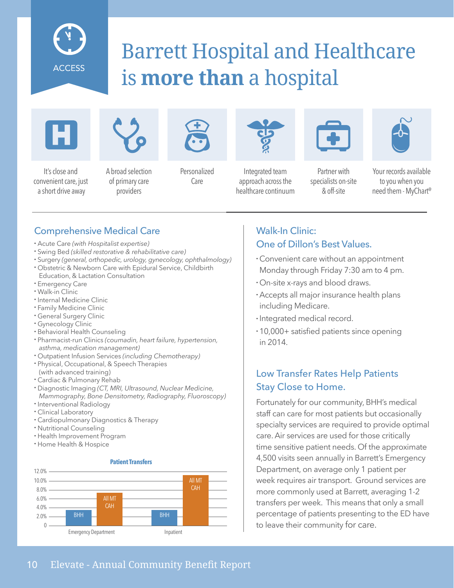

### Barrett Hospital and Healthcare is **more than** a hospital





It's close and convenient care, just a short drive away

A broad selection of primary care

providers



Personalized Care



Integrated team approach across the healthcare continuum



Partner with specialists on-site & off-site



Your records available to you when you need them - MyChart@

#### Comprehensive Medical Care

- Acute Care *(with Hospitalist expertise)*
- Swing Bed *(skilled restorative & rehabilitative care)*
- Surgery *(general, orthopedic, urology, gynecology, ophthalmology)*
- Obstetric & Newborn Care with Epidural Service, Childbirth Education, & Lactation Consultation
- Emergency Care
- Walk-in Clinic
- Internal Medicine Clinic
- Family Medicine Clinic
- General Surgery Clinic
- Gynecology Clinic
- Behavioral Health Counseling
- Pharmacist-run Clinics *(coumadin, heart failure, hypertension, asthma, medication management)*
- Outpatient Infusion Services *(including Chemotherapy)*
- Physical, Occupational, & Speech Therapies (with advanced training)
- Cardiac & Pulmonary Rehab
- Diagnostic Imaging *(CT, MRI, Ultrasound, Nuclear Medicine, Mammography, Bone Densitometry, Radiography, Fluoroscopy)*
- Interventional Radiology
- Clinical Laboratory
- Cardiopulmonary Diagnostics & Therapy
- Nutritional Counseling
- Health Improvement Program
- Home Health & Hospice

#### **Patient Transfers**



#### Walk-In Clinic: One of Dillon's Best Values.

- Convenient care without an appointment Monday through Friday 7:30 am to 4 pm.
- On-site x-rays and blood draws.
- Accepts all major insurance health plans including Medicare.
- Integrated medical record.
- 10,000+ satisfied patients since opening in 2014.

#### Low Transfer Rates Help Patients Stay Close to Home.

Fortunately for our community, BHH's medical staff can care for most patients but occasionally specialty services are required to provide optimal care. Air services are used for those critically time sensitive patient needs. Of the approximate 4,500 visits seen annually in Barrett's Emergency Department, on average only 1 patient per week requires air transport. Ground services are more commonly used at Barrett, averaging 1-2 transfers per week. This means that only a small percentage of patients presenting to the ED have to leave their community for care.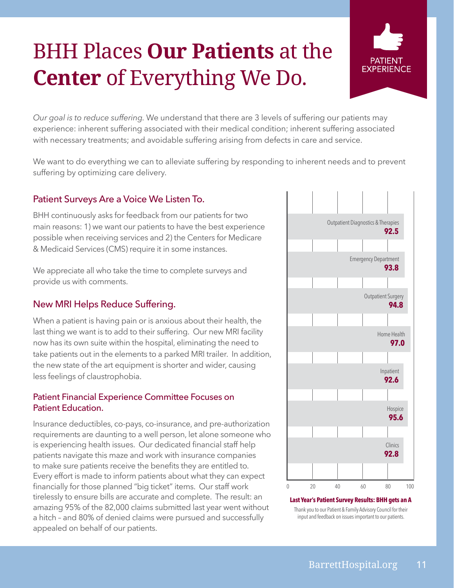## BHH Places **Our Patients** at the **Center** of Everything We Do.



*Our goal is to reduce suffering.* We understand that there are 3 levels of suffering our patients may experience: inherent suffering associated with their medical condition; inherent suffering associated with necessary treatments; and avoidable suffering arising from defects in care and service.

We want to do everything we can to alleviate suffering by responding to inherent needs and to prevent suffering by optimizing care delivery.

#### Patient Surveys Are a Voice We Listen To.

BHH continuously asks for feedback from our patients for two main reasons: 1) we want our patients to have the best experience possible when receiving services and 2) the Centers for Medicare & Medicaid Services (CMS) require it in some instances.

We appreciate all who take the time to complete surveys and provide us with comments.

#### New MRI Helps Reduce Suffering.

When a patient is having pain or is anxious about their health, the last thing we want is to add to their suffering. Our new MRI facility now has its own suite within the hospital, eliminating the need to take patients out in the elements to a parked MRI trailer. In addition, the new state of the art equipment is shorter and wider, causing less feelings of claustrophobia.

#### Patient Financial Experience Committee Focuses on Patient Education.

Insurance deductibles, co-pays, co-insurance, and pre-authorization requirements are daunting to a well person, let alone someone who is experiencing health issues. Our dedicated financial staff help patients navigate this maze and work with insurance companies to make sure patients receive the benefits they are entitled to. Every effort is made to inform patients about what they can expect financially for those planned "big ticket" items. Our staff work tirelessly to ensure bills are accurate and complete. The result: an amazing 95% of the 82,000 claims submitted last year went without a hitch – and 80% of denied claims were pursued and successfully appealed on behalf of our patients.



#### **Last Year's Patient Survey Results: BHH gets an A** Thank you to our Patient & Family Advisory Council for their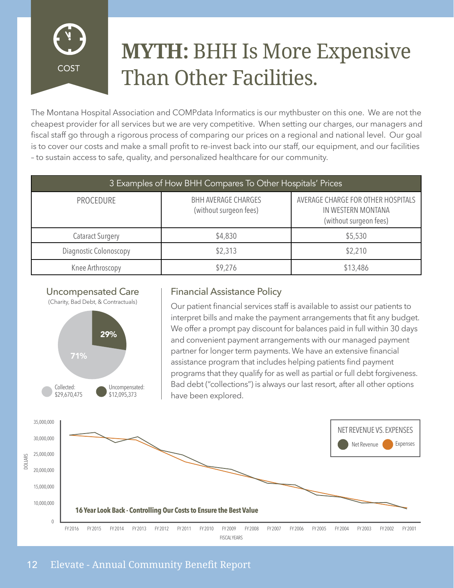

### **MYTH:** BHH Is More Expensive Than Other Facilities.

The Montana Hospital Association and COMPdata Informatics is our mythbuster on this one. We are not the cheapest provider for all services but we are very competitive. When setting our charges, our managers and fiscal staff go through a rigorous process of comparing our prices on a regional and national level. Our goal is to cover our costs and make a small profit to re-invest back into our staff, our equipment, and our facilities – to sustain access to safe, quality, and personalized healthcare for our community.

| 3 Examples of How BHH Compares To Other Hospitals' Prices |                                                      |                                                                                    |
|-----------------------------------------------------------|------------------------------------------------------|------------------------------------------------------------------------------------|
| PROCEDURE                                                 | <b>BHH AVERAGE CHARGES</b><br>(without surgeon fees) | AVERAGE CHARGE FOR OTHER HOSPITALS<br>IN WESTERN MONTANA<br>(without surgeon fees) |
| <b>Cataract Surgery</b>                                   | \$4,830                                              | \$5,530                                                                            |
| Diagnostic Colonoscopy                                    | \$2,313                                              | \$2,210                                                                            |
| Knee Arthroscopy                                          | \$9,276                                              | \$13,486                                                                           |

#### Uncompensated Care

(Charity, Bad Debt, & Contractuals)



#### Financial Assistance Policy

Our patient financial services staff is available to assist our patients to interpret bills and make the payment arrangements that fit any budget. We offer a prompt pay discount for balances paid in full within 30 days and convenient payment arrangements with our managed payment partner for longer term payments. We have an extensive financial assistance program that includes helping patients find payment programs that they qualify for as well as partial or full debt forgiveness. Bad debt ("collections") is always our last resort, after all other options have been explored.

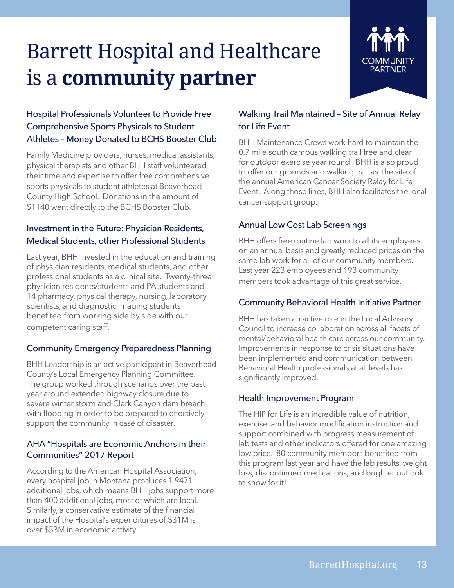## Barrett Hospital and Healthcare is a **community partner**

#### Hospital Professionals Volunteer to Provide Free Comprehensive Sports Physicals to Student Athletes – Money Donated to BCHS Booster Club

Family Medicine providers, nurses, medical assistants, physical therapists and other BHH staff volunteered their time and expertise to offer free comprehensive sports physicals to student athletes at Beaverhead County High School. Donations in the amount of \$1140 went directly to the BCHS Booster Club.

#### Investment in the Future: Physician Residents, Medical Students, other Professional Students

Last year, BHH invested in the education and training of physician residents, medical students, and other professional students as a clinical site. Twenty-three physician residents/students and PA students and 14 pharmacy, physical therapy, nursing, laboratory scientists, and diagnostic imaging students benefited from working side by side with our competent caring staff.

#### Community Emergency Preparedness Planning

BHH Leadership is an active participant in Beaverhead County's Local Emergency Planning Committee. The group worked through scenarios over the past year around extended highway closure due to severe winter storm and Clark Canyon dam breach with flooding in order to be prepared to effectively support the community in case of disaster.

#### AHA "Hospitals are Economic Anchors in their Communities" 2017 Report

According to the American Hospital Association, every hospital job in Montana produces 1.9471 additional jobs, which means BHH jobs support more than 400 additional jobs, most of which are local. Similarly, a conservative estimate of the financial impact of the Hospital's expenditures of \$31M is over \$53M in economic activity.

#### Walking Trail Maintained – Site of Annual Relay for Life Event

BHH Maintenance Crews work hard to maintain the 0.7 mile south campus walking trail free and clear for outdoor exercise year round. BHH is also proud to offer our grounds and walking trail as the site of the annual American Cancer Society Relay for Life Event. Along those lines, BHH also facilitates the local cancer support group.

#### Annual Low Cost Lab Screenings

BHH offers free routine lab work to all its employees on an annual basis and greatly reduced prices on the same lab work for all of our community members. Last year 223 employees and 193 community members took advantage of this great service.

#### Community Behavioral Health Initiative Partner

BHH has taken an active role in the Local Advisory Council to increase collaboration across all facets of mental/behavioral health care across our community. Improvements in response to crisis situations have been implemented and communication between Behavioral Health professionals at all levels has significantly improved.

#### Health Improvement Program

The HIP for Life is an incredible value of nutrition, exercise, and behavior modification instruction and support combined with progress measurement of lab tests and other indicators offered for one amazing low price. 80 community members benefited from this program last year and have the lab results, weight loss, discontinued medications, and brighter outlook to show for it!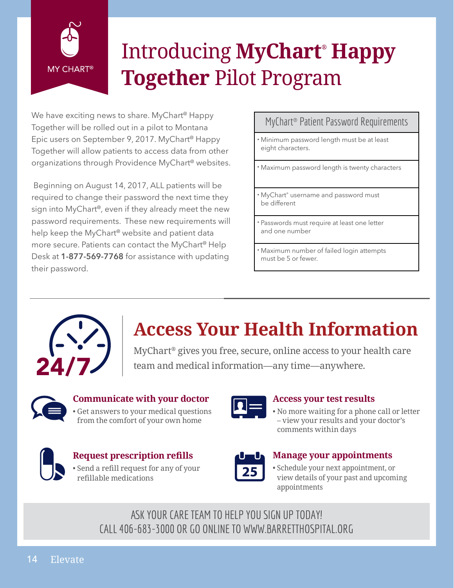

## Introducing **MyChart® Happy Together** Pilot Program

We have exciting news to share. MyChart<sup>®</sup> Happy Together will be rolled out in a pilot to Montana Epic users on September 9, 2017. MyChart<sup>®</sup> Happy Together will allow patients to access data from other organizations through Providence MyChart<sup>®</sup> websites.

 Beginning on August 14, 2017, ALL patients will be required to change their password the next time they sign into  $MyChar^{\circ}$ , even if they already meet the new password requirements. These new requirements will help keep the MyChart<sup>®</sup> website and patient data more secure. Patients can contact the MyChart<sup>®</sup> Help Desk at **1-877-569-7768** for assistance with updating their password.

#### MyChart® Patient Password Requirements

• Minimum password length must be at least eight characters.

• Maximum password length is twenty characters

• MyChart® username and password must be different

• Passwords must require at least one letter and one number

• Maximum number of failed login attempts must be 5 or fewer.



### **Access Your Health Information**

MyChart® gives you free, secure, online access to your health care team and medical information—any time—anywhere.



#### **Communicate with your doctor**

Get answers to your medical questions from the comfort of your own home



#### **Request prescription refills**

• Send a refill request for any of your refillable medications



#### **Access your test results**

• No more waiting for a phone call or letter – view your results and your doctor's comments within days



#### **Manage your appointments**

• Schedule your next appointment, or view details of your past and upcoming appointments

ASK YOUR CARE TEAM TO HELP YOU SIGN UP TODAY! CALL 406-683-3000 OR GO ONLINE TO WWW.BARRETTHOSPITAL.ORG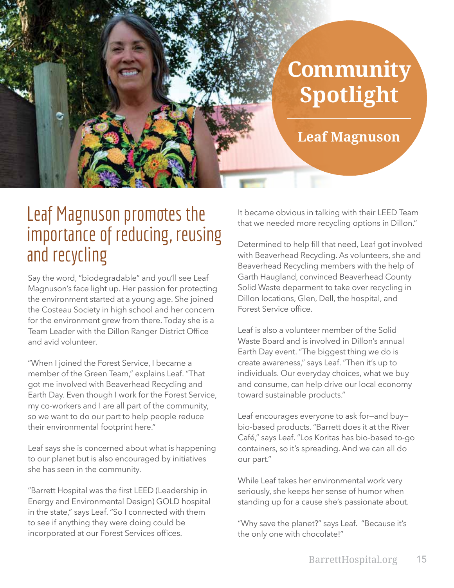## **Community Spotlight**

**Leaf Magnuson**

### Leaf Magnuson promotes the importance of reducing, reusing and recycling

Say the word, "biodegradable" and you'll see Leaf Magnuson's face light up. Her passion for protecting the environment started at a young age. She joined the Costeau Society in high school and her concern for the environment grew from there. Today she is a Team Leader with the Dillon Ranger District Office and avid volunteer.

"When I joined the Forest Service, I became a member of the Green Team," explains Leaf. "That got me involved with Beaverhead Recycling and Earth Day. Even though I work for the Forest Service, my co-workers and I are all part of the community, so we want to do our part to help people reduce their environmental footprint here."

Leaf says she is concerned about what is happening to our planet but is also encouraged by initiatives she has seen in the community.

"Barrett Hospital was the first LEED (Leadership in Energy and Environmental Design) GOLD hospital in the state," says Leaf. "So I connected with them to see if anything they were doing could be incorporated at our Forest Services offices.

It became obvious in talking with their LEED Team that we needed more recycling options in Dillon."

Determined to help fill that need, Leaf got involved with Beaverhead Recycling. As volunteers, she and Beaverhead Recycling members with the help of Garth Haugland, convinced Beaverhead County Solid Waste deparment to take over recycling in Dillon locations, Glen, Dell, the hospital, and Forest Service office.

Leaf is also a volunteer member of the Solid Waste Board and is involved in Dillon's annual Earth Day event. "The biggest thing we do is create awareness," says Leaf. "Then it's up to individuals. Our everyday choices, what we buy and consume, can help drive our local economy toward sustainable products."

Leaf encourages everyone to ask for—and buy bio-based products. "Barrett does it at the River Café," says Leaf. "Los Koritas has bio-based to-go containers, so it's spreading. And we can all do our part."

While Leaf takes her environmental work very seriously, she keeps her sense of humor when standing up for a cause she's passionate about.

"Why save the planet?" says Leaf. "Because it's the only one with chocolate!"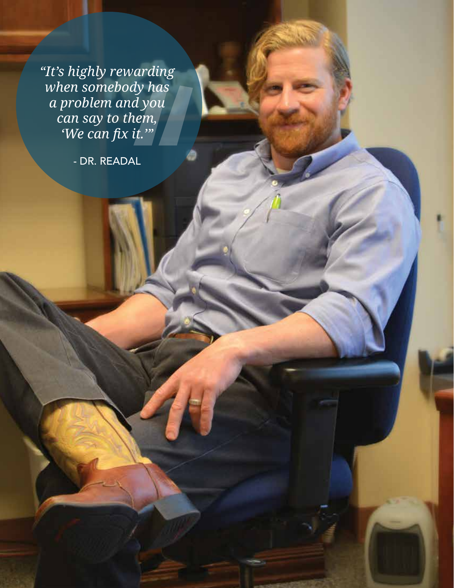*"It's highly rewarding when somebody has a problem and you can say to them, 'We can fix it.'"*

- DR. READAL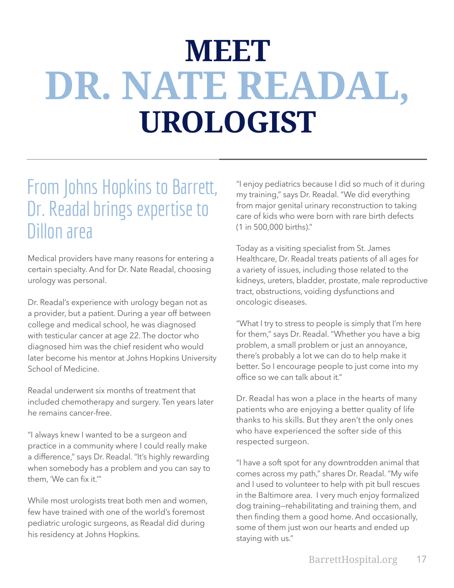# **MEET DR. NATE READAL, UROLOGIST**

### From Johns Hopkins to Barrett, Dr. Readal brings expertise to Dillon area

Medical providers have many reasons for entering a certain specialty. And for Dr. Nate Readal, choosing urology was personal.

Dr. Readal's experience with urology began not as a provider, but a patient. During a year off between college and medical school, he was diagnosed with testicular cancer at age 22. The doctor who diagnosed him was the chief resident who would later become his mentor at Johns Hopkins University School of Medicine.

Readal underwent six months of treatment that included chemotherapy and surgery. Ten years later he remains cancer-free.

"I always knew I wanted to be a surgeon and practice in a community where I could really make a difference," says Dr. Readal. "It's highly rewarding when somebody has a problem and you can say to them, 'We can fix it.'"

While most urologists treat both men and women, few have trained with one of the world's foremost pediatric urologic surgeons, as Readal did during his residency at Johns Hopkins.

"I enjoy pediatrics because I did so much of it during my training," says Dr. Readal. "We did everything from major genital urinary reconstruction to taking care of kids who were born with rare birth defects (1 in 500,000 births)."

Today as a visiting specialist from St. James Healthcare, Dr. Readal treats patients of all ages for a variety of issues, including those related to the kidneys, ureters, bladder, prostate, male reproductive tract, obstructions, voiding dysfunctions and oncologic diseases.

"What I try to stress to people is simply that I'm here for them," says Dr. Readal. "Whether you have a big problem, a small problem or just an annoyance, there's probably a lot we can do to help make it better. So I encourage people to just come into my office so we can talk about it."

Dr. Readal has won a place in the hearts of many patients who are enjoying a better quality of life thanks to his skills. But they aren't the only ones who have experienced the softer side of this respected surgeon.

"I have a soft spot for any downtrodden animal that comes across my path," shares Dr. Readal. "My wife and I used to volunteer to help with pit bull rescues in the Baltimore area. I very much enjoy formalized dog training—rehabilitating and training them, and then finding them a good home. And occasionally, some of them just won our hearts and ended up staying with us."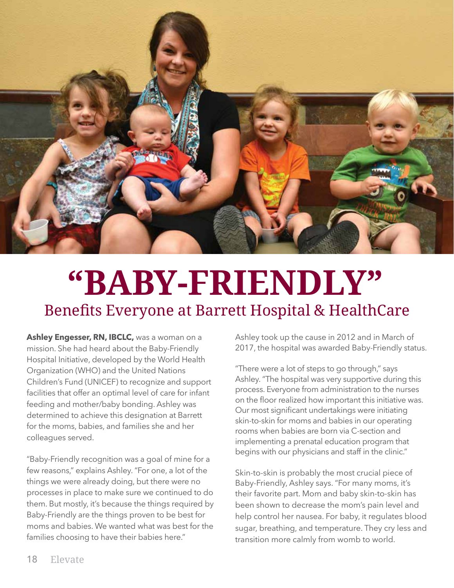

# **"BABY-FRIENDLY"** Benefits Everyone at Barrett Hospital & HealthCare

**Ashley Engesser, RN, IBCLC,** was a woman on a mission. She had heard about the Baby-Friendly Hospital Initiative, developed by the World Health Organization (WHO) and the United Nations Children's Fund (UNICEF) to recognize and support facilities that offer an optimal level of care for infant feeding and mother/baby bonding. Ashley was determined to achieve this designation at Barrett for the moms, babies, and families she and her colleagues served.

"Baby-Friendly recognition was a goal of mine for a few reasons," explains Ashley. "For one, a lot of the things we were already doing, but there were no processes in place to make sure we continued to do them. But mostly, it's because the things required by Baby-Friendly are the things proven to be best for moms and babies. We wanted what was best for the families choosing to have their babies here."

Ashley took up the cause in 2012 and in March of 2017, the hospital was awarded Baby-Friendly status.

"There were a lot of steps to go through," says Ashley. "The hospital was very supportive during this process. Everyone from administration to the nurses on the floor realized how important this initiative was. Our most significant undertakings were initiating skin-to-skin for moms and babies in our operating rooms when babies are born via C-section and implementing a prenatal education program that begins with our physicians and staff in the clinic."

Skin-to-skin is probably the most crucial piece of Baby-Friendly, Ashley says. "For many moms, it's their favorite part. Mom and baby skin-to-skin has been shown to decrease the mom's pain level and help control her nausea. For baby, it regulates blood sugar, breathing, and temperature. They cry less and transition more calmly from womb to world.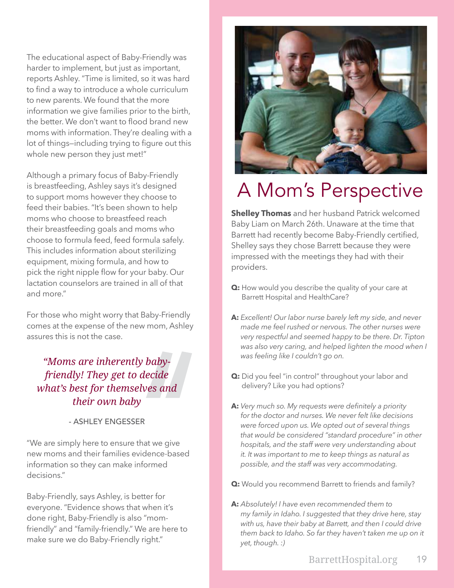The educational aspect of Baby-Friendly was harder to implement, but just as important, reports Ashley. "Time is limited, so it was hard to find a way to introduce a whole curriculum to new parents. We found that the more information we give families prior to the birth, the better. We don't want to flood brand new moms with information. They're dealing with a lot of things—including trying to figure out this whole new person they just met!"

Although a primary focus of Baby-Friendly is breastfeeding, Ashley says it's designed to support moms however they choose to feed their babies. "It's been shown to help moms who choose to breastfeed reach their breastfeeding goals and moms who choose to formula feed, feed formula safely. This includes information about sterilizing equipment, mixing formula, and how to pick the right nipple flow for your baby. Our lactation counselors are trained in all of that and more."

For those who might worry that Baby-Friendly comes at the expense of the new mom, Ashley assures this is not the case.

*"Moms are inherently babyfriendly! They get to decide what's best for themselves and their own baby*

#### - ASHLEY ENGESSER

"We are simply here to ensure that we give new moms and their families evidence-based information so they can make informed decisions."

Baby-Friendly, says Ashley, is better for everyone. "Evidence shows that when it's done right, Baby-Friendly is also "momfriendly" and "family-friendly." We are here to make sure we do Baby-Friendly right."



### A Mom's Perspective

**Shelley Thomas** and her husband Patrick welcomed Baby Liam on March 26th. Unaware at the time that Barrett had recently become Baby-Friendly certified, Shelley says they chose Barrett because they were impressed with the meetings they had with their providers.

- **Q:** How would you describe the quality of your care at Barrett Hospital and HealthCare?
- **A:** *Excellent! Our labor nurse barely left my side, and never made me feel rushed or nervous. The other nurses were very respectful and seemed happy to be there. Dr. Tipton was also very caring, and helped lighten the mood when I was feeling like I couldn't go on.*
- **Q:** Did you feel "in control" throughout your labor and delivery? Like you had options?
- **A:** *Very much so. My requests were definitely a priority for the doctor and nurses. We never felt like decisions were forced upon us. We opted out of several things that would be considered "standard procedure" in other hospitals, and the staff were very understanding about it. It was important to me to keep things as natural as possible, and the staff was very accommodating.*
- **Q:** Would you recommend Barrett to friends and family?
- **A:** *Absolutely! I have even recommended them to my family in Idaho. I suggested that they drive here, stay with us, have their baby at Barrett, and then I could drive them back to Idaho. So far they haven't taken me up on it yet, though. :)*